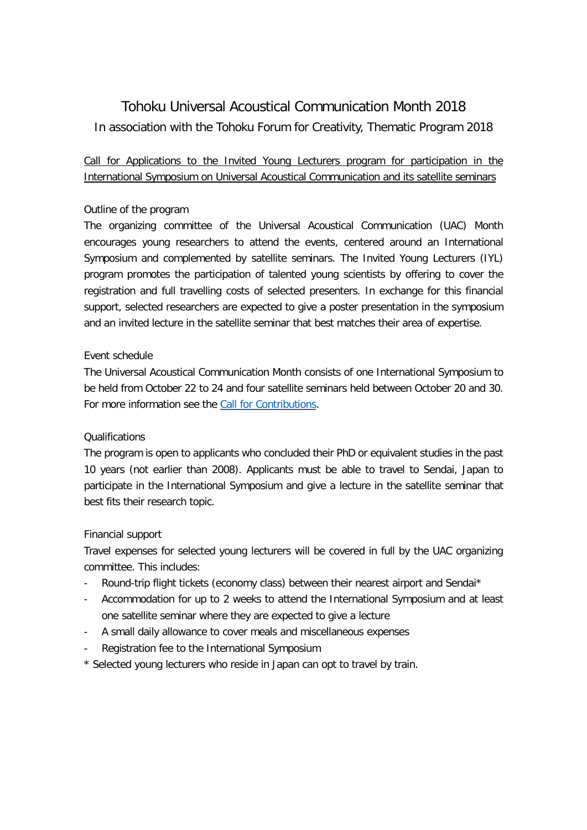# Tohoku Universal Acoustical Communication Month 2018 In association with the Tohoku Forum for Creativity, Thematic Program 2018

## Call for Applications to the Invited Young Lecturers program for participation in the International Symposium on Universal Acoustical Communication and its satellite seminars

### Outline of the program

The organizing committee of the Universal Acoustical Communication (UAC) Month encourages young researchers to attend the events, centered around an International Symposium and complemented by satellite seminars. The Invited Young Lecturers (IYL) program promotes the participation of talented young scientists by offering to cover the registration and full travelling costs of selected presenters. In exchange for this financial support, selected researchers are expected to give a poster presentation in the symposium and an invited lecture in the satellite seminar that best matches their area of expertise.

#### Event schedule

The Universal Acoustical Communication Month consists of one International Symposium to be held from October 22 to 24 and four satellite seminars held between October 20 and 30. For more information see the Call [for Contributions.](http://www.tfc.tohoku.ac.jp/wp-content/uploads/2018/10/2018UAC_CfC_R1.pdf)

#### Qualifications

The program is open to applicants who concluded their PhD or equivalent studies in the past 10 years (not earlier than 2008). Applicants must be able to travel to Sendai, Japan to participate in the International Symposium and give a lecture in the satellite seminar that best fits their research topic.

#### Financial support

Travel expenses for selected young lecturers will be covered in full by the UAC organizing committee. This includes:

- Round-trip flight tickets (economy class) between their nearest airport and Sendai\*
- Accommodation for up to 2 weeks to attend the International Symposium and at least one satellite seminar where they are expected to give a lecture
- A small daily allowance to cover meals and miscellaneous expenses
- Registration fee to the International Symposium
- \* Selected young lecturers who reside in Japan can opt to travel by train.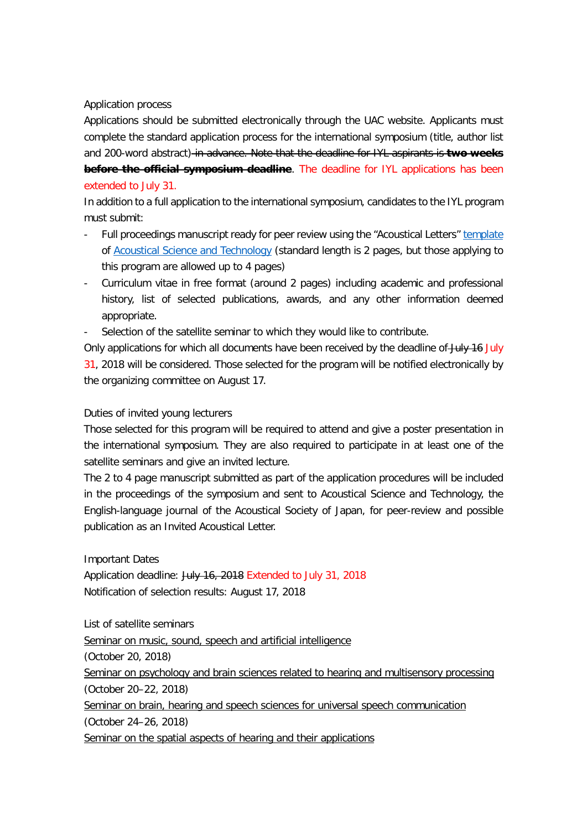Application process

Applications should be submitted electronically through the UAC website. Applicants must complete the standard application process for the international symposium (title, author list and 200-word abstract) in advance. Note that the deadline for IYL aspirants is **two weeks before the official symposium deadline**. The deadline for IYL applications has been extended to July 31.

In addition to a full application to the international symposium, candidates to the IYL program must submit:

- Full proceedings manuscript ready for peer review using the "Acoustical Letters[" template](http://www.asj.gr.jp/eng/link-ml/01.html) of [Acoustical Science and Technology](https://www.jstage.jst.go.jp/browse/ast/-char/en) (standard length is 2 pages, but those applying to this program are allowed up to 4 pages)
- Curriculum vitae in free format (around 2 pages) including academic and professional history, list of selected publications, awards, and any other information deemed appropriate.
- Selection of the satellite seminar to which they would like to contribute.

Only applications for which all documents have been received by the deadline of July 16 July 31, 2018 will be considered. Those selected for the program will be notified electronically by the organizing committee on August 17.

#### Duties of invited young lecturers

Those selected for this program will be required to attend and give a poster presentation in the international symposium. They are also required to participate in at least one of the satellite seminars and give an invited lecture.

The 2 to 4 page manuscript submitted as part of the application procedures will be included in the proceedings of the symposium and sent to Acoustical Science and Technology, the English-language journal of the Acoustical Society of Japan, for peer-review and possible publication as an Invited Acoustical Letter.

Important Dates Application deadline: July 16, 2018 Extended to July 31, 2018 Notification of selection results: August 17, 2018

List of satellite seminars Seminar on music, sound, speech and artificial intelligence (October 20, 2018) Seminar on psychology and brain sciences related to hearing and multisensory processing (October 20–22, 2018) Seminar on brain, hearing and speech sciences for universal speech communication (October 24–26, 2018) Seminar on the spatial aspects of hearing and their applications